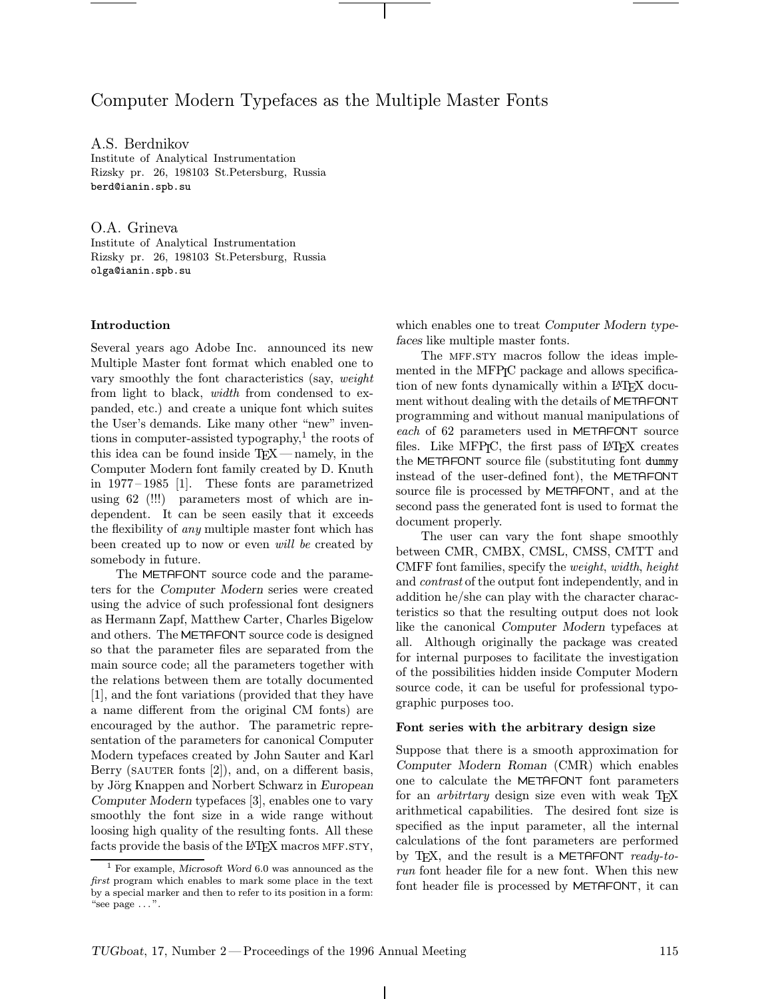# Computer Modern Typefaces as the Multiple Master Fonts

A.S. Berdnikov Institute of Analytical Instrumentation Rizsky pr. 26, 198103 St.Petersburg, Russia berd@ianin.spb.su

O.A. Grineva Institute of Analytical Instrumentation Rizsky pr. 26, 198103 St.Petersburg, Russia olga@ianin.spb.su

## Introduction

Several years ago Adobe Inc. announced its new Multiple Master font format which enabled one to vary smoothly the font characteristics (say, weight from light to black, width from condensed to expanded, etc.) and create a unique font which suites the User's demands. Like many other "new" inventions in computer-assisted typography, $\frac{1}{1}$  the roots of this idea can be found inside  $T_{F}X$ —namely, in the Computer Modern font family created by D. Knuth in 1977–1985 [1]. These fonts are parametrized using 62 (!!!) parameters most of which are independent. It can be seen easily that it exceeds the flexibility of any multiple master font which has been created up to now or even *will be* created by somebody in future.

The METAFONT source code and the parameters for the Computer Modern series were created using the advice of such professional font designers as Hermann Zapf, Matthew Carter, Charles Bigelow and others. The METAFONT source code is designed so that the parameter files are separated from the main source code; all the parameters together with the relations between them are totally documented [1], and the font variations (provided that they have a name different from the original CM fonts) are encouraged by the author. The parametric representation of the parameters for canonical Computer Modern typefaces created by John Sauter and Karl Berry (SAUTER fonts  $[2]$ ), and, on a different basis, by Jörg Knappen and Norbert Schwarz in European Computer Modern typefaces [3], enables one to vary smoothly the font size in a wide range without loosing high quality of the resulting fonts. All these facts provide the basis of the LAT<sub>F</sub>X macros MFF.STY,

which enables one to treat Computer Modern typefaces like multiple master fonts.

The MFF.STY macros follow the ideas implemented in the MFP<sub>I</sub>C package and allows specification of new fonts dynamically within a LAT<sub>EX</sub> document without dealing with the details of METAFONT programming and without manual manipulations of each of 62 parameters used in METAFONT source files. Like MFP<sub>I</sub>C, the first pass of L<sup>AT</sup>F<sub>I</sub>X creates the METAFONT source file (substituting font dummy instead of the user-defined font), the METAFONT source file is processed by METAFONT, and at the second pass the generated font is used to format the document properly.

The user can vary the font shape smoothly between CMR, CMBX, CMSL, CMSS, CMTT and CMFF font families, specify the weight, width, height and contrast of the output font independently, and in addition he/she can play with the character characteristics so that the resulting output does not look like the canonical Computer Modern typefaces at all. Although originally the package was created for internal purposes to facilitate the investigation of the possibilities hidden inside Computer Modern source code, it can be useful for professional typographic purposes too.

#### Font series with the arbitrary design size

Suppose that there is a smooth approximation for Computer Modern Roman (CMR) which enables one to calculate the METAFONT font parameters for an *arbitrtary* design size even with weak T<sub>E</sub>X arithmetical capabilities. The desired font size is specified as the input parameter, all the internal calculations of the font parameters are performed by T<sub>F</sub>X, and the result is a METAFONT ready-torun font header file for a new font. When this new font header file is processed by METAFONT, it can

<sup>1</sup> For example, Microsoft Word 6.0 was announced as the first program which enables to mark some place in the text by a special marker and then to refer to its position in a form: "see  $page \ldots$ ".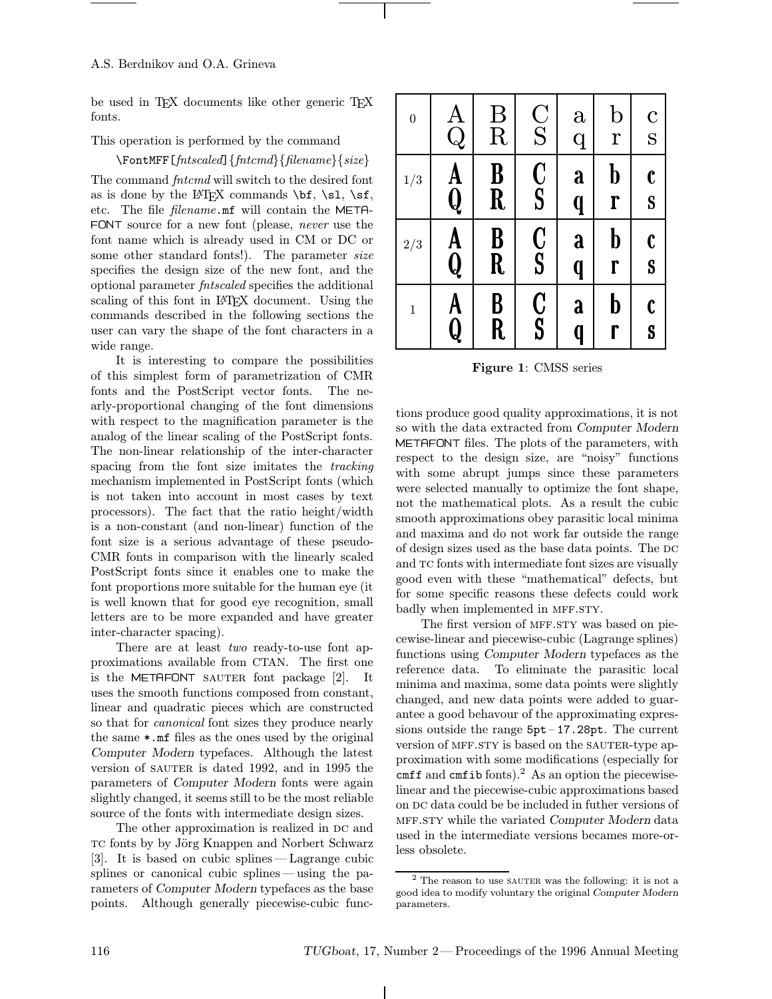be used in TEX documents like other generic TEX fonts.

## This operation is performed by the command

\FontMFF[fntscaled]{fntcmd}{filename}{size} The command *fntcmd* will switch to the desired font as is done by the IATEX commands  $\bf b$ f,  $\bf s$ l,  $\bf s$ f, etc. The file filename.mf will contain the META- FONT source for a new font (please, never use the font name which is already used in CM or DC or some other standard fonts!). The parameter size specifies the design size of the new font, and the optional parameter fntscaled specifies the additional scaling of this font in LAT<sub>EX</sub> document. Using the commands described in the following sections the user can vary the shape of the font characters in a wide range.

It is interesting to compare the possibilities of this simplest form of parametrization of CMR fonts and the PostScript vector fonts. The nearly-proportional changing of the font dimensions with respect to the magnification parameter is the analog of the linear scaling of the PostScript fonts. The non-linear relationship of the inter-character spacing from the font size imitates the *tracking* mechanism implemented in PostScript fonts (which is not taken into account in most cases by text processors). The fact that the ratio height/width is a non-constant (and non-linear) function of the font size is a serious advantage of these pseudo-CMR fonts in comparison with the linearly scaled PostScript fonts since it enables one to make the font proportions more suitable for the human eye (it is well known that for good eye recognition, small letters are to be more expanded and have greater inter-character spacing).

There are at least *two* ready-to-use font approximations available from CTAN. The first one is the METAFONT SAUTER font package  $[2]$ . It uses the smooth functions composed from constant, linear and quadratic pieces which are constructed so that for canonical font sizes they produce nearly the same \*.mf files as the ones used by the original Computer Modern typefaces. Although the latest version of SAUTER is dated 1992, and in 1995 the parameters of Computer Modern fonts were again slightly changed, it seems still to be the most reliable source of the fonts with intermediate design sizes.

The other approximation is realized in DC and TC fonts by by Jörg Knappen and Norbert Schwarz [3]. It is based on cubic splines —Lagrange cubic splines or canonical cubic splines — using the parameters of Computer Modern typefaces as the base points. Although generally piecewise-cubic func-

| $\boldsymbol{0}$ | $\begin{matrix} \textrm{A}\ \textrm{Q}\ \end{matrix}$ | $\rm \frac{B}{R}$ | $\frac{\text{C}}{\text{S}}$ | $\mathbf{a}$<br>$\overline{q}$ | $\mathbf b$<br>$\mathbf r$                | $\mathbf C$<br>S  |
|------------------|-------------------------------------------------------|-------------------|-----------------------------|--------------------------------|-------------------------------------------|-------------------|
| 1/3              | A<br>Q                                                | B<br>R            | C<br>S                      | a<br>q                         | ${\bf b}$<br>ľ                            | $\mathbf{c}$<br>S |
| 2/3              | A<br>Q                                                | B<br>R            | C<br>S                      | a<br>q                         | b<br>ľ                                    | $\mathbf{c}$<br>S |
| $\mathbf{1}$     | A<br>$\overline{\mathsf{Q}}$                          | B<br>R            | C<br>S                      | a<br>q                         | $\boldsymbol{\mathsf{b}}$<br>$\mathbf{r}$ | $\mathbf c$<br>S  |

Figure 1: CMSS series

tions produce good quality approximations, it is not so with the data extracted from Computer Modern METAFONT files. The plots of the parameters, with respect to the design size, are "noisy" functions with some abrupt jumps since these parameters were selected manually to optimize the font shape, not the mathematical plots. As a result the cubic smooth approximations obey parasitic local minima and maxima and do not work far outside the range of design sizes used as the base data points. The DC and TC fonts with intermediate font sizes are visually good even with these "mathematical" defects, but for some specific reasons these defects could work badly when implemented in MFF.STY.

The first version of MFF.STY was based on piecewise-linear and piecewise-cubic (Lagrange splines) functions using Computer Modern typefaces as the reference data. To eliminate the parasitic local minima and maxima, some data points were slightly changed, and new data points were added to guarantee a good behavour of the approximating expressions outside the range  $5pt-17.28pt$ . The current version of MFF.STY is based on the SAUTER-type approximation with some modifications (especially for cmff and cmfib fonts). $^{2}$  As an option the piecewiselinear and the piecewise-cubic approximations based on DC data could be be included in futher versions of MFF.STY while the variated Computer Modern data used in the intermediate versions becames more-orless obsolete.

 $2$  The reason to use SAUTER was the following: it is not a good idea to modify voluntary the original Computer Modern parameters.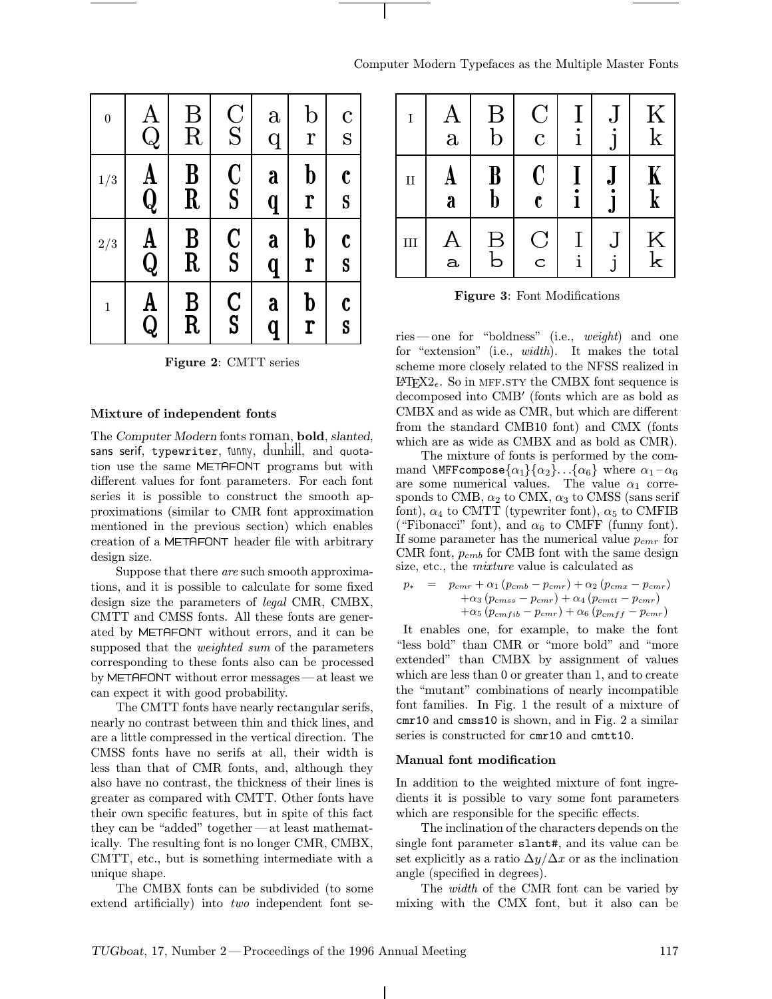| Computer Modern Typefaces as the Multiple Master Fonts |  |  |  |  |  |
|--------------------------------------------------------|--|--|--|--|--|
|--------------------------------------------------------|--|--|--|--|--|

| $\boldsymbol{0}$ | $\rm A$<br>$\overline{Q}$    | Β<br>R                      | $\frac{C}{S}$                   | $\mathbf{a}$<br>$\overline{q}$ | $\rm{b}$<br>$\mathbf r$ | $\mathbf C$<br>S  | I                   |
|------------------|------------------------------|-----------------------------|---------------------------------|--------------------------------|-------------------------|-------------------|---------------------|
| 1/3              | $\mathbf A$<br>$\pmb Q$      | $\bf{B}$<br>$\mathbf R$     | $\frac{\mathbf{C}}{\mathbf{S}}$ | a<br>q                         | ${\bf b}$<br>ľ          | $\mathbf{c}$<br>S | $\rm II$            |
| 2/3              | A<br>$\overline{\textbf{Q}}$ | $\frac{\text{B}}{\text{R}}$ | $\frac{C}{S}$                   | a<br>q                         | ${\bf b}$<br>r          | $\mathbf c$<br>S  | $\rm III$           |
| $\mathbf 1$      | A<br>Q                       | $\frac{\text{B}}{\text{R}}$ | $\frac{C}{S}$                   | a<br>q                         | ${\bf b}$<br>ľ          | $\mathbf c$<br>S  | ries-<br>$\epsilon$ |

Figure 2: CMTT series

#### Mixture of independent fonts

The Computer Modern fonts roman, bold, slanted, sans serif, typewriter, funny, dunhill, and quotation use the same METAFONT programs but with different values for font parameters. For each font series it is possible to construct the smooth approximations (similar to CMR font approximation mentioned in the previous section) which enables creation of a METAFONT header file with arbitrary design size.

Suppose that there are such smooth approximations, and it is possible to calculate for some fixed design size the parameters of legal CMR, CMBX, CMTT and CMSS fonts. All these fonts are generated by METAFONT without errors, and it can be supposed that the *weighted* sum of the parameters corresponding to these fonts also can be processed by METAFONT without error messages—at least we can expect it with good probability.

The CMTT fonts have nearly rectangular serifs, nearly no contrast between thin and thick lines, and are a little compressed in the vertical direction. The CMSS fonts have no serifs at all, their width is less than that of CMR fonts, and, although they also have no contrast, the thickness of their lines is greater as compared with CMTT. Other fonts have their own specific features, but in spite of this fact they can be "added" together—at least mathematically. The resulting font is no longer CMR, CMBX, CMTT, etc., but is something intermediate with a unique shape.

The CMBX fonts can be subdivided (to some extend artificially) into two independent font se-

| $\rm I$      | $\mathbf{A}$<br>$\mathbf{a}$ | $\rm{B}$<br>$\mathbf b$ | $\overline{\rm C}$<br>$\overline{C}$ | $\bf{l}$     | IJ<br>${\bf J}$               | $\rm K$<br>$\rm k$ |
|--------------|------------------------------|-------------------------|--------------------------------------|--------------|-------------------------------|--------------------|
| $\mathbf{I}$ | A<br>a                       | $\bf{B}$<br>$\mathbf b$ | $\mathbf C$<br>$\mathbf{c}$          | ٠<br>l       | J.<br>$\overline{\mathbf{a}}$ | K<br>$\mathbf k$   |
| III          | A<br>a                       | $\bm{\mathrm{B}}$<br>b  | $\overline{C}$<br>$\mathsf{C}$       | $\mathbf{i}$ | ل<br>i                        | $\rm K$<br>$\rm k$ |

Figure 3: Font Modifications

ries—one for "boldness" (i.e., weight) and one for "extension" (i.e., width). It makes the total scheme more closely related to the NFSS realized in  $\text{LFTF}X2_{\epsilon}$ . So in MFF.STY the CMBX font sequence is decomposed into CMB<sup>'</sup> (fonts which are as bold as CMBX and as wide as CMR, but which are different from the standard CMB10 font) and CMX (fonts which are as wide as CMBX and as bold as CMR).

The mixture of fonts is performed by the command \MFFcompose $\{\alpha_1\} \{\alpha_2\} \ldots \{\alpha_6\}$  where  $\alpha_1 - \alpha_6$ are some numerical values. The value  $\alpha_1$  corresponds to CMB,  $\alpha_2$  to CMX,  $\alpha_3$  to CMSS (sans serif font),  $\alpha_4$  to CMTT (typewriter font),  $\alpha_5$  to CMFIB ("Fibonacci" font), and  $\alpha_6$  to CMFF (funny font). If some parameter has the numerical value  $p_{cmr}$  for CMR font,  $p_{cmb}$  for CMB font with the same design size, etc., the mixture value is calculated as

$$
p_* = p_{cmr} + \alpha_1 (p_{cmb} - p_{cmr}) + \alpha_2 (p_{cmx} - p_{cmr})
$$
  
+ 
$$
\alpha_3 (p_{cmss} - p_{cmr}) + \alpha_4 (p_{cmtt} - p_{cmr})
$$
  
+ 
$$
\alpha_5 (p_{cmfib} - p_{cmr}) + \alpha_6 (p_{cmff} - p_{cmr})
$$

It enables one, for example, to make the font "less bold" than CMR or "more bold" and "more extended" than CMBX by assignment of values which are less than 0 or greater than 1, and to create the "mutant" combinations of nearly incompatible font families. In Fig. 1 the result of a mixture of cmr10 and cmss10 is shown, and in Fig. 2 a similar series is constructed for cmr10 and cmtt10.

#### Manual font modification

In addition to the weighted mixture of font ingredients it is possible to vary some font parameters which are responsible for the specific effects.

The inclination of the characters depends on the single font parameter slant#, and its value can be set explicitly as a ratio  $\Delta y/\Delta x$  or as the inclination angle (specified in degrees).

The *width* of the CMR font can be varied by mixing with the CMX font, but it also can be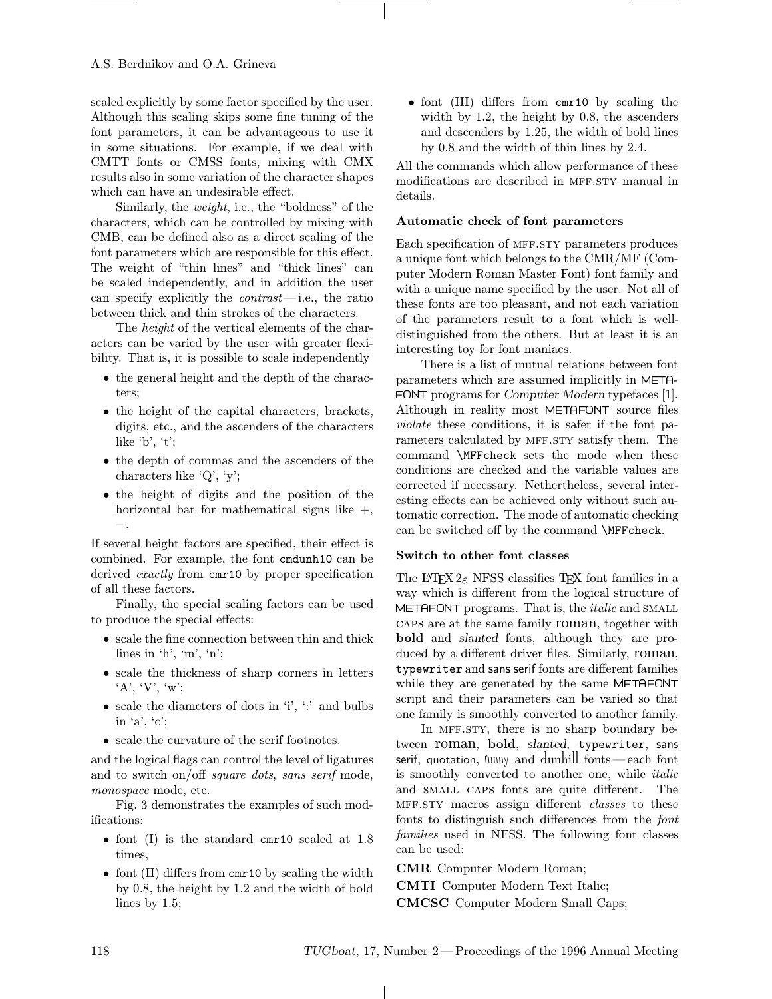scaled explicitly by some factor specified by the user. Although this scaling skips some fine tuning of the font parameters, it can be advantageous to use it in some situations. For example, if we deal with CMTT fonts or CMSS fonts, mixing with CMX results also in some variation of the character shapes which can have an undesirable effect.

Similarly, the weight, i.e., the "boldness" of the characters, which can be controlled by mixing with CMB, can be defined also as a direct scaling of the font parameters which are responsible for this effect. The weight of "thin lines" and "thick lines" can be scaled independently, and in addition the user can specify explicitly the *contrast*—i.e., the ratio between thick and thin strokes of the characters.

The height of the vertical elements of the characters can be varied by the user with greater flexibility. That is, it is possible to scale independently

- the general height and the depth of the characters;
- the height of the capital characters, brackets, digits, etc., and the ascenders of the characters like  $b', t'$ ;
- the depth of commas and the ascenders of the characters like 'Q', 'y';
- the height of digits and the position of the horizontal bar for mathematical signs like  $+$ , −.

If several height factors are specified, their effect is combined. For example, the font cmdunh10 can be derived *exactly* from cmr10 by proper specification of all these factors.

Finally, the special scaling factors can be used to produce the special effects:

- scale the fine connection between thin and thick lines in 'h', 'm', 'n';
- scale the thickness of sharp corners in letters  $A', Y', 'w';$
- scale the diameters of dots in 'i', ':' and bulbs in 'a', 'c';
- scale the curvature of the serif footnotes.

and the logical flags can control the level of ligatures and to switch on/off square dots, sans serif mode, monospace mode, etc.

Fig. 3 demonstrates the examples of such modifications:

- font (I) is the standard cmr10 scaled at 1.8 times,
- font (II) differs from cmr10 by scaling the width by 0.8, the height by 1.2 and the width of bold lines by 1.5;

• font (III) differs from cmr10 by scaling the width by 1.2, the height by 0.8, the ascenders and descenders by 1.25, the width of bold lines by 0.8 and the width of thin lines by 2.4.

All the commands which allow performance of these modifications are described in MFF.STY manual in details.

### Automatic check of font parameters

Each specification of mff.sty parameters produces a unique font which belongs to the CMR/MF (Computer Modern Roman Master Font) font family and with a unique name specified by the user. Not all of these fonts are too pleasant, and not each variation of the parameters result to a font which is welldistinguished from the others. But at least it is an interesting toy for font maniacs.

There is a list of mutual relations between font parameters which are assumed implicitly in META- FONT programs for Computer Modern typefaces [1]. Although in reality most METAFONT source files violate these conditions, it is safer if the font parameters calculated by MFF.STY satisfy them. The command \MFFcheck sets the mode when these conditions are checked and the variable values are corrected if necessary. Nethertheless, several interesting effects can be achieved only without such automatic correction. The mode of automatic checking can be switched off by the command \MFFcheck.

#### Switch to other font classes

The L<sup>AT</sup>EX  $2\varepsilon$  NFSS classifies TEX font families in a way which is different from the logical structure of METAFONT programs. That is, the *italic* and SMALL caps are at the same family roman, together with bold and slanted fonts, although they are produced by a different driver files. Similarly, roman, typewriter and sans serif fonts are different families while they are generated by the same METAFONT script and their parameters can be varied so that one family is smoothly converted to another family.

In MFF.STY, there is no sharp boundary between roman, bold, slanted, typewriter, sans serif, quotation, funny and dunhill fonts—each font is smoothly converted to another one, while *italic* and small caps fonts are quite different. The MFF.STY macros assign different classes to these fonts to distinguish such differences from the font families used in NFSS. The following font classes can be used:

CMR Computer Modern Roman;

CMTI Computer Modern Text Italic; CMCSC Computer Modern Small Caps;